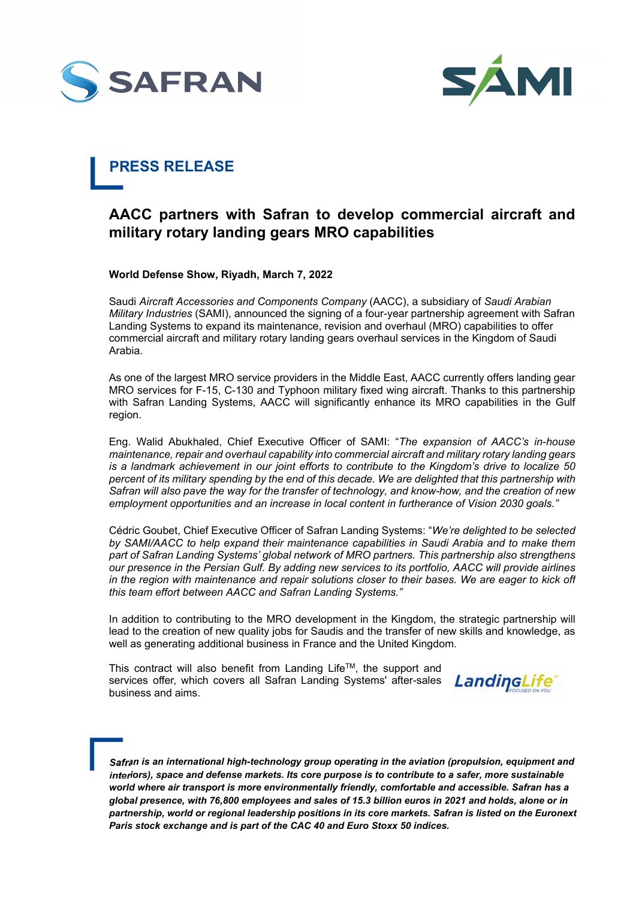



## **PRESS RELEASE**

## **AACC partners with Safran to develop commercial aircraft and military rotary landing gears MRO capabilities**

**World Defense Show, Riyadh, March 7, 2022** 

Saudi *Aircraft Accessories and Components Company* (AACC), a subsidiary of *Saudi Arabian Military Industries* (SAMI), announced the signing of a four-year partnership agreement with Safran Landing Systems to expand its maintenance, revision and overhaul (MRO) capabilities to offer commercial aircraft and military rotary landing gears overhaul services in the Kingdom of Saudi Arabia.

As one of the largest MRO service providers in the Middle East, AACC currently offers landing gear MRO services for F-15, C-130 and Typhoon military fixed wing aircraft. Thanks to this partnership with Safran Landing Systems, AACC will significantly enhance its MRO capabilities in the Gulf region.

Eng. Walid Abukhaled, Chief Executive Officer of SAMI: "*The expansion of AACC's in-house maintenance, repair and overhaul capability into commercial aircraft and military rotary landing gears is a landmark achievement in our joint efforts to contribute to the Kingdom's drive to localize 50 percent of its military spending by the end of this decade. We are delighted that this partnership with Safran will also pave the way for the transfer of technology, and know-how, and the creation of new employment opportunities and an increase in local content in furtherance of Vision 2030 goals."*

Cédric Goubet, Chief Executive Officer of Safran Landing Systems: "*We're delighted to be selected by SAMI/AACC to help expand their maintenance capabilities in Saudi Arabia and to make them part of Safran Landing Systems' global network of MRO partners. This partnership also strengthens our presence in the Persian Gulf. By adding new services to its portfolio, AACC will provide airlines in the region with maintenance and repair solutions closer to their bases. We are eager to kick off this team effort between AACC and Safran Landing Systems."* 

In addition to contributing to the MRO development in the Kingdom, the strategic partnership will lead to the creation of new quality jobs for Saudis and the transfer of new skills and knowledge, as well as generating additional business in France and the United Kingdom.

This contract will also benefit from Landing Life<sup>TM</sup>, the support and services offer, which covers all Safran Landing Systems' after-sales LandingLife<sup>®</sup> business and aims.

*Safran is an international high-technology group operating in the aviation (propulsion, equipment and interiors), space and defense markets. Its core purpose is to contribute to a safer, more sustainable world where air transport is more environmentally friendly, comfortable and accessible. Safran has a global presence, with 76,800 employees and sales of 15.3 billion euros in 2021 and holds, alone or in partnership, world or regional leadership positions in its core markets. Safran is listed on the Euronext Paris stock exchange and is part of the CAC 40 and Euro Stoxx 50 indices.*